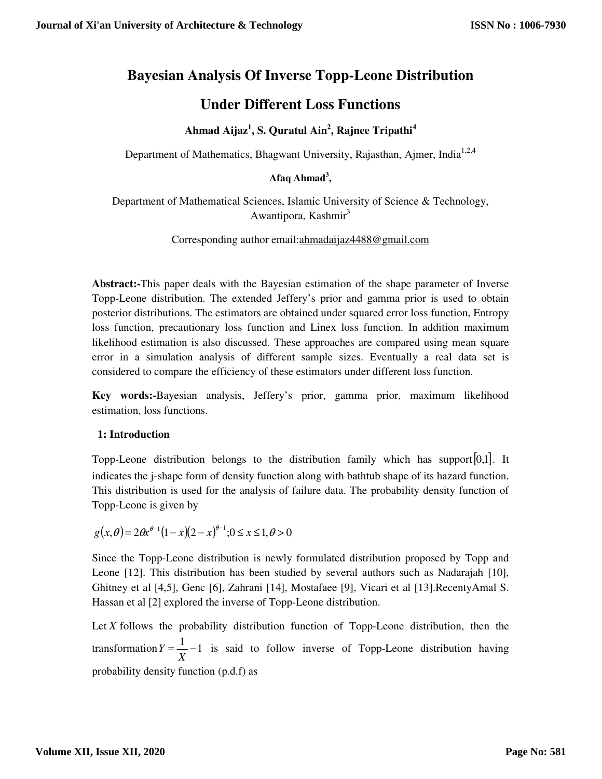# **Bayesian Analysis Of Inverse Topp-Leone Distribution**

# **Under Different Loss Functions**

## **Ahmad Aijaz<sup>1</sup> , S. Quratul Ain<sup>2</sup> , Rajnee Tripathi<sup>4</sup>**

Department of Mathematics, Bhagwant University, Rajasthan, Ajmer, India<sup>1,2,4</sup>

## **Afaq Ahmad<sup>3</sup> ,**

Department of Mathematical Sciences, Islamic University of Science & Technology, Awantipora, Kashmir $3$ 

## Corresponding author email:ahmadaijaz4488@gmail.com

**Abstract:-**This paper deals with the Bayesian estimation of the shape parameter of Inverse Topp-Leone distribution. The extended Jeffery's prior and gamma prior is used to obtain posterior distributions. The estimators are obtained under squared error loss function, Entropy loss function, precautionary loss function and Linex loss function. In addition maximum likelihood estimation is also discussed. These approaches are compared using mean square error in a simulation analysis of different sample sizes. Eventually a real data set is considered to compare the efficiency of these estimators under different loss function.

**Key words:-**Bayesian analysis, Jeffery's prior, gamma prior, maximum likelihood estimation, loss functions.

## **1: Introduction**

Topp-Leone distribution belongs to the distribution family which has support  $[0,1]$ . It indicates the j-shape form of density function along with bathtub shape of its hazard function. This distribution is used for the analysis of failure data. The probability density function of Topp-Leone is given by

$$
g(x, \theta) = 2\theta x^{\theta-1} (1-x)(2-x)^{\theta-1}; 0 \le x \le 1, \theta > 0
$$

Since the Topp-Leone distribution is newly formulated distribution proposed by Topp and Leone [12]. This distribution has been studied by several authors such as Nadarajah [10], Ghitney et al [4,5], Genc [6], Zahrani [14], Mostafaee [9], Vicari et al [13].RecentyAmal S. Hassan et al [2] explored the inverse of Topp-Leone distribution.

Let *X* follows the probability distribution function of Topp-Leone distribution, then the transformation  $Y = \frac{1}{Y} - 1$ *X*  $Y = \frac{1}{X} - 1$  is said to follow inverse of Topp-Leone distribution having probability density function (p.d.f) as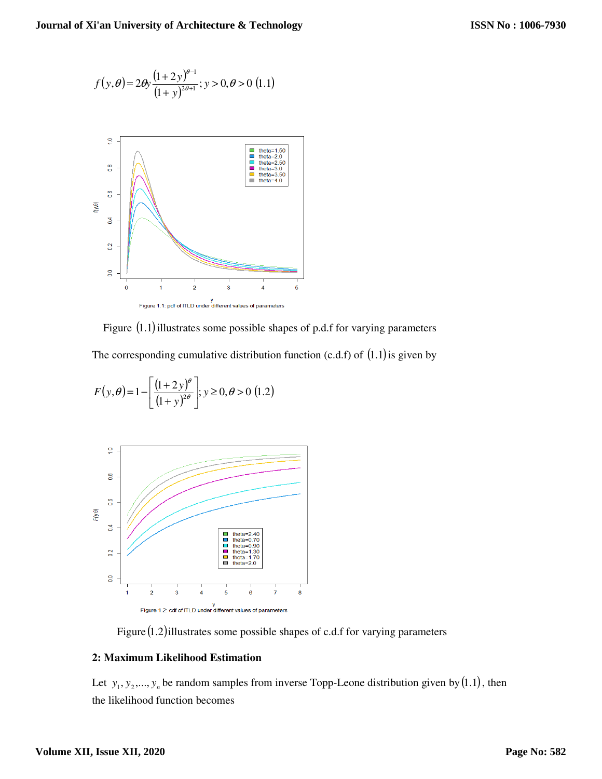$$
f(y,\theta) = 2\theta y \frac{(1+2y)^{\theta-1}}{(1+y)^{2\theta+1}}; y > 0, \theta > 0
$$
 (1.1)



Figure  $(1.1)$  illustrates some possible shapes of p.d.f for varying parameters

The corresponding cumulative distribution function (c.d.f) of  $(1.1)$  is given by

$$
F(y, \theta) = 1 - \left[ \frac{(1+2y)^{\theta}}{(1+y)^{2\theta}} \right]; y \ge 0, \theta > 0
$$
 (1.2)



Figure  $(1.2)$ illustrates some possible shapes of c.d.f for varying parameters

## **2: Maximum Likelihood Estimation**

Let  $y_1, y_2, \ldots, y_n$  be random samples from inverse Topp-Leone distribution given by (1.1), then the likelihood function becomes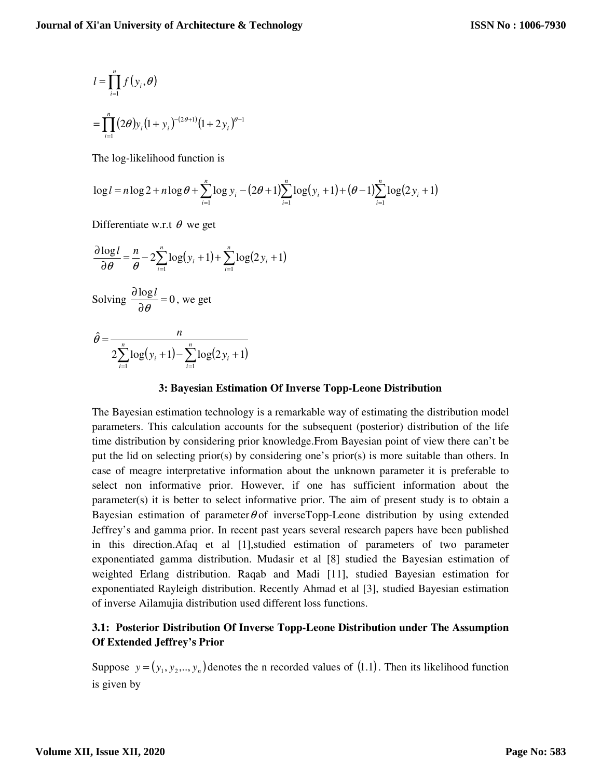$$
l = \prod_{i=1}^{n} f(y_i, \theta)
$$
  
= 
$$
\prod_{i=1}^{n} (2\theta) y_i (1 + y_i)^{-(2\theta+1)} (1 + 2y_i)^{\theta-1}
$$

The log-likelihood function is

$$
\log l = n \log 2 + n \log \theta + \sum_{i=1}^{n} \log y_i - (2\theta + 1) \sum_{i=1}^{n} \log (y_i + 1) + (\theta - 1) \sum_{i=1}^{n} \log (2y_i + 1)
$$

Differentiate w.r.t  $\theta$  we get

$$
\frac{\partial \log l}{\partial \theta} = \frac{n}{\theta} - 2 \sum_{i=1}^{n} \log(y_i + 1) + \sum_{i=1}^{n} \log(2y_i + 1)
$$
  
Solving  $\frac{\partial \log l}{\partial \theta} = 0$ , we get

$$
\hat{\theta} = \frac{n}{2\sum_{i=1}^{n} \log(y_i + 1) - \sum_{i=1}^{n} \log(2y_i + 1)}
$$

#### **3: Bayesian Estimation Of Inverse Topp-Leone Distribution**

The Bayesian estimation technology is a remarkable way of estimating the distribution model parameters. This calculation accounts for the subsequent (posterior) distribution of the life time distribution by considering prior knowledge.From Bayesian point of view there can't be put the lid on selecting prior(s) by considering one's prior(s) is more suitable than others. In case of meagre interpretative information about the unknown parameter it is preferable to select non informative prior. However, if one has sufficient information about the parameter(s) it is better to select informative prior. The aim of present study is to obtain a Bayesian estimation of parameter  $\theta$  of inverseTopp-Leone distribution by using extended Jeffrey's and gamma prior. In recent past years several research papers have been published in this direction.Afaq et al [1],studied estimation of parameters of two parameter exponentiated gamma distribution. Mudasir et al [8] studied the Bayesian estimation of weighted Erlang distribution. Raqab and Madi [11], studied Bayesian estimation for exponentiated Rayleigh distribution. Recently Ahmad et al [3], studied Bayesian estimation of inverse Ailamujia distribution used different loss functions.

## **3.1: Posterior Distribution Of Inverse Topp-Leone Distribution under The Assumption Of Extended Jeffrey's Prior**

Suppose  $y = (y_1, y_2, ..., y_n)$  denotes the n recorded values of (1.1). Then its likelihood function is given by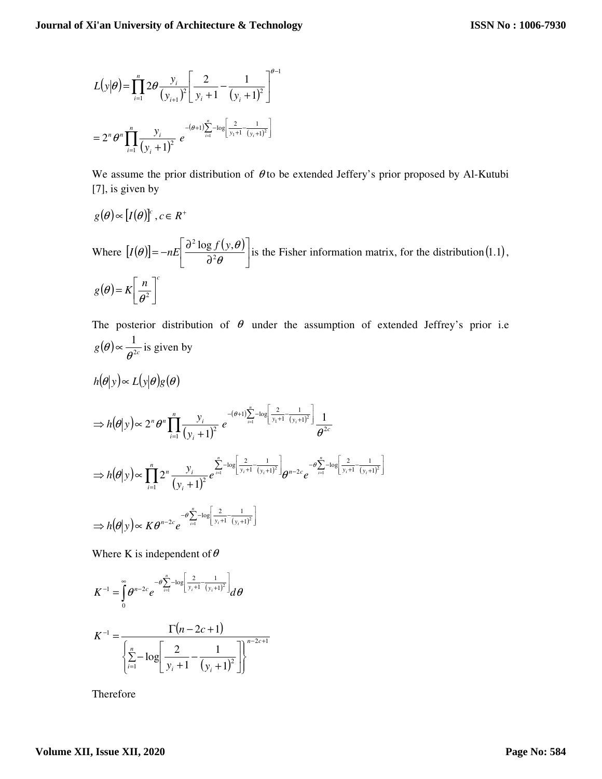$$
L(y|\theta) = \prod_{i=1}^{n} 2\theta \frac{y_i}{(y_{i+1})^2} \left[ \frac{2}{y_i + 1} - \frac{1}{(y_i + 1)^2} \right]^{\theta - 1}
$$
  
=  $2^n \theta^n \prod_{i=1}^{n} \frac{y_i}{(y_i + 1)^2} e^{-(\theta + 1) \sum_{i=1}^{n} -\log \left[ \frac{2}{y_i + 1} - \frac{1}{(y_i + 1)^2} \right]}$ 

We assume the prior distribution of  $\theta$  to be extended Jeffery's prior proposed by Al-Kutubi [7], is given by

$$
g(\theta) \propto [I(\theta)]^c, c \in R^+
$$

Where 
$$
[I(\theta)] = -nE\left[\frac{\partial^2 \log f(y, \theta)}{\partial^2 \theta}\right]
$$
 is the Fisher information matrix, for the distribution (1.1),  
 $g(\theta) = K\left[\frac{n}{\theta^2}\right]^c$ 

The posterior distribution of  $\theta$  under the assumption of extended Jeffrey's prior i.e  $g(\theta) \propto \frac{1}{\theta^{2c}}$  $(\theta) \propto \frac{1}{\theta^{2c}}$  is given by

$$
h(\theta|y) \propto L(y|\theta)g(\theta)
$$
  
\n
$$
\Rightarrow h(\theta|y) \propto 2^n \theta^n \prod_{i=1}^n \frac{y_i}{(y_i+1)^2} e^{- (\theta+1) \sum_{i=1}^n -\log \left[ \frac{2}{y_i+1} - \frac{1}{(y_i+1)^2} \right]} \frac{1}{\theta^{2c}}
$$
  
\n
$$
\Rightarrow h(\theta|y) \propto \prod_{i=1}^n 2^n \frac{y_i}{(y_i+1)^2} e^{\sum_{i=1}^n -\log \left[ \frac{2}{y_i+1} - \frac{1}{(y_i+1)^2} \right]} \theta^{n-2c} e^{-\theta \sum_{i=1}^n -\log \left[ \frac{2}{y_i+1} - \frac{1}{(y_i+1)^2} \right]}
$$
  
\n
$$
\Rightarrow h(\theta|y) \propto K \theta^{n-2c} e^{-\theta \sum_{i=1}^n -\log \left[ \frac{2}{y_i+1} - \frac{1}{(y_i+1)^2} \right]}
$$

Where K is independent of  $\theta$ 

$$
K^{-1} = \int_{0}^{\infty} \theta^{n-2c} e^{-\theta \sum_{i=1}^{n} -\log \left[\frac{2}{y_i+1} - \frac{1}{(y_i+1)^2}\right]} d\theta
$$

$$
K^{-1} = \frac{\Gamma(n - 2c + 1)}{\left\{ \sum_{i=1}^{n} -\log \left[ \frac{2}{y_i + 1} - \frac{1}{(y_i + 1)^2} \right] \right\}^{n - 2c + 1}}
$$

Therefore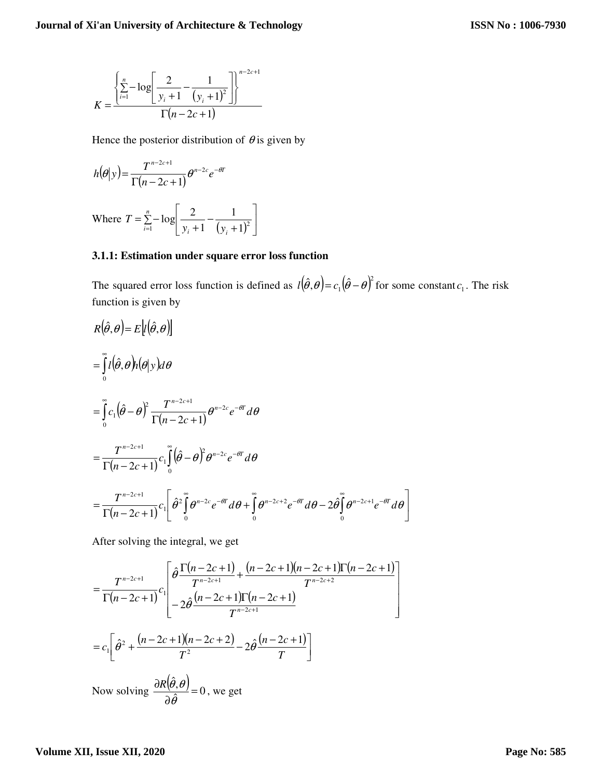$$
K = \frac{\left\{\sum_{i=1}^{n} -\log\left[\frac{2}{y_i+1} - \frac{1}{(y_i+1)^2}\right]\right\}^{n-2c+1}}{\Gamma(n-2c+1)}
$$

Hence the posterior distribution of  $\theta$  is given by

$$
h(\theta|y) = \frac{T^{n-2c+1}}{\Gamma(n-2c+1)} \theta^{n-2c} e^{-\theta T}
$$

Where 
$$
T = \sum_{i=1}^{n} -\log \left[ \frac{2}{y_i + 1} - \frac{1}{(y_i + 1)^2} \right]
$$

## **3.1.1: Estimation under square error loss function**

The squared error loss function is defined as  $l(\hat{\theta}, \theta) = c_1(\hat{\theta} - \theta)^2$  $l(\hat{\theta}, \theta) = c_1(\hat{\theta} - \theta)^2$  for some constant  $c_1$ . The risk function is given by

J

1

$$
R(\hat{\theta}, \theta) = E[t(\hat{\theta}, \theta)]
$$
  
\n
$$
= \int_{0}^{\infty} l(\hat{\theta}, \theta) h(\theta | y) d\theta
$$
  
\n
$$
= \int_{0}^{\infty} c_1(\hat{\theta} - \theta)^2 \frac{T^{n-2c+1}}{\Gamma(n-2c+1)} \theta^{n-2c} e^{-\theta T} d\theta
$$
  
\n
$$
= \frac{T^{n-2c+1}}{\Gamma(n-2c+1)} c_1 \int_{0}^{\infty} (\hat{\theta} - \theta)^2 \theta^{n-2c} e^{-\theta T} d\theta
$$
  
\n
$$
= \frac{T^{n-2c+1}}{\Gamma(n-2c+1)} c_1 \left[ \hat{\theta}^2 \int_{0}^{\infty} \theta^{n-2c} e^{-\theta T} d\theta + \int_{0}^{\infty} \theta^{n-2c+2} e^{-\theta T} d\theta - 2\hat{\theta} \int_{0}^{\infty} \theta^{n-2c+1} e^{-\theta T} d\theta \right]
$$

After solving the integral, we get

$$
= \frac{T^{n-2c+1}}{\Gamma(n-2c+1)} c \left[ \frac{\hat{\theta} \frac{\Gamma(n-2c+1)}{T^{n-2c+1}} + \frac{(n-2c+1)(n-2c+1)\Gamma(n-2c+1)}{T^{n-2c+2}}}{\frac{\sum_{i=1}^{n-2c+1} \hat{\theta}^2 + \frac{(n-2c+1)(n-2c+2)}{T^2} - 2\hat{\theta} \frac{(n-2c+1)}{T}}{T^2} - 2\hat{\theta} \frac{(n-2c+1)}{T} \right]
$$
  
\nNow solving  $\frac{\partial R(\hat{\theta}, \theta)}{\partial \hat{\theta}} = 0$ , we get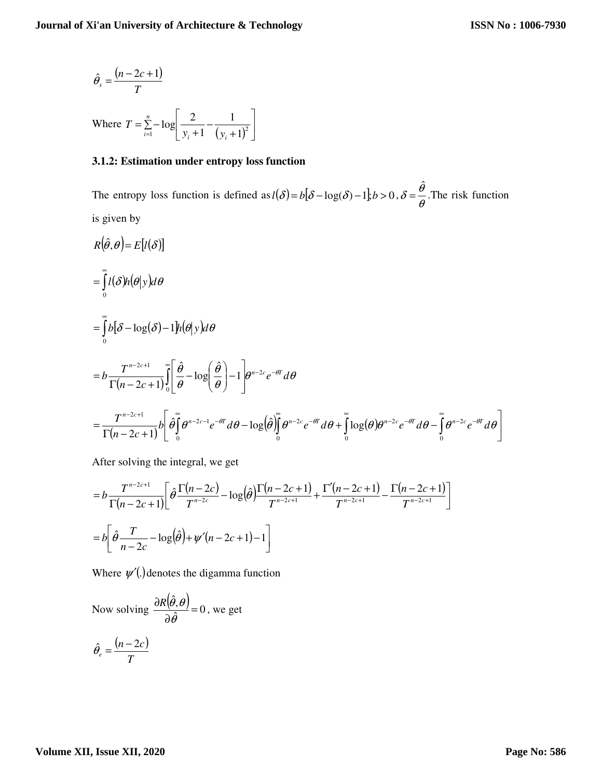$$
\hat{\theta}_s = \frac{(n - 2c + 1)}{T}
$$

Where  $T = \sum_{i=1}^{\infty} -\log \left[ \frac{2}{y_i + 1} - \frac{1}{(y_i + 1)^2} \right]$ 1  $\mathbf{r}$ L Γ + − +  $=\sum_{i=1}$  – *n*  $\sum_{i=1}^{\infty}$   $y_i + 1$   $(y_i$  $T = \sum_{i=1}^{n} -\log \left( \frac{2}{y_i+1} - \frac{1}{(y_i+1)^2} \right)$ 1 1  $log\left|-\frac{2}{2}\right|$ 

#### **3.1.2: Estimation under entropy loss function**

The entropy loss function is defined as  $l(\delta) = b[\delta - \log(\delta) - 1], b > 0, \delta = \frac{b}{\theta}$  $\delta = \frac{\hat{\theta}}{}$  $=\frac{6}{3}$ . The risk function is given by

$$
R(\hat{\theta}, \theta) = E[l(\delta)]
$$
  
\n
$$
= \int_{0}^{\infty} l(\delta)h(\theta|y)d\theta
$$
  
\n
$$
= \int_{0}^{\infty} b[\delta - \log(\delta) - 1]h(\theta|y)d\theta
$$
  
\n
$$
= b \frac{T^{n-2c+1}}{\Gamma(n-2c+1)} \int_{0}^{\infty} \left[ \frac{\hat{\theta}}{\theta} - \log\left(\frac{\hat{\theta}}{\theta}\right) - 1 \right] e^{n-2c} e^{-\theta T} d\theta
$$
  
\n
$$
= \frac{T^{n-2c+1}}{\Gamma(n-2c+1)} b \left[ \frac{\hat{\theta}}{\theta} \int_{0}^{\infty} \theta^{n-2c-1} e^{-\theta T} d\theta - \log(\hat{\theta}) \right]_{0}^{\infty} \theta^{n-2c} e^{-\theta T} d\theta + \int_{0}^{\infty} \log(\theta) e^{n-2c} e^{-\theta T} d\theta - \int_{0}^{\infty} \theta^{n-2c} e^{-\theta T} d\theta \right]
$$

After solving the integral, we get

$$
=b\frac{T^{n-2c+1}}{\Gamma(n-2c+1)}\left[\hat{\theta}\frac{\Gamma(n-2c)}{T^{n-2c}}-\log(\hat{\theta})\frac{\Gamma(n-2c+1)}{T^{n-2c+1}}+\frac{\Gamma'(n-2c+1)}{T^{n-2c+1}}-\frac{\Gamma(n-2c+1)}{T^{n-2c+1}}\right]
$$

$$
=b\left[\hat{\theta}\frac{T}{n-2c}-\log(\hat{\theta})+\psi'(n-2c+1)-1\right]
$$

Where  $\psi'$ . denotes the digamma function

Now solving 
$$
\frac{\partial R(\hat{\theta}, \theta)}{\partial \hat{\theta}} = 0
$$
, we get  

$$
\hat{\theta}_e = \frac{(n-2c)}{T}
$$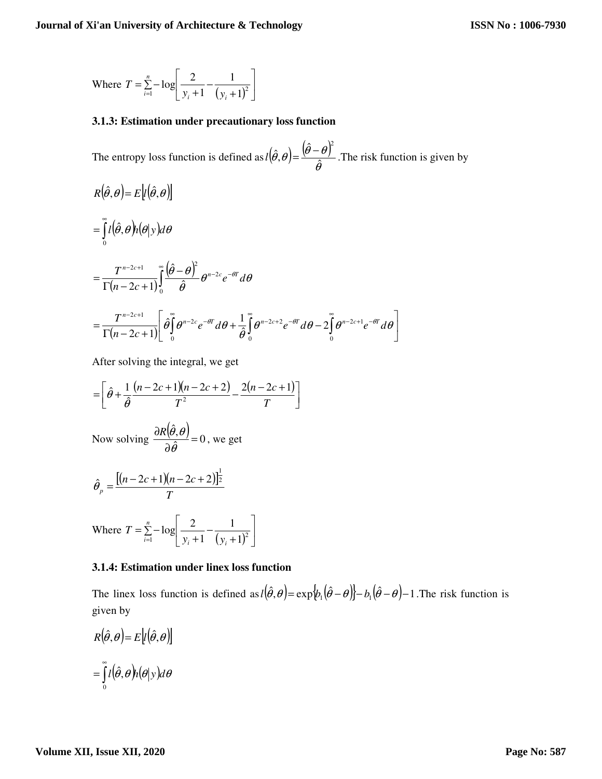Where 
$$
T = \sum_{i=1}^{n} -\log \left[ \frac{2}{y_i + 1} - \frac{1}{(y_i + 1)^2} \right]
$$

#### **3.1.3: Estimation under precautionary loss function**

The entropy loss function is defined as  $l(\hat{\theta}, \theta) = \frac{(\hat{\theta} - \theta)^T}{\hat{\theta}}$  $(\hat{\theta},\theta) = \frac{(\theta - \theta)}{\hat{\theta}}$ ˆ , ˆ  $l(\hat{\theta}, \theta) = \frac{(\hat{\theta} - \theta)^2}{\hat{\theta}}$ . The risk function is given by

$$
R(\hat{\theta}, \theta) = E[t(\hat{\theta}, \theta)]
$$
  
= 
$$
\int_{0}^{\infty} l(\hat{\theta}, \theta) h(\theta | y) d\theta
$$
  
= 
$$
\frac{T^{n-2c+1}}{\Gamma(n-2c+1)} \int_{0}^{\infty} \frac{(\hat{\theta} - \theta)^2}{\hat{\theta}} \theta^{n-2c} e^{-\theta T} d\theta
$$
  
= 
$$
\frac{T^{n-2c+1}}{\Gamma(n-2c+1)} \left[ \hat{\theta} \int_{0}^{\infty} \theta^{n-2c} e^{-\theta T} d\theta + \frac{1}{\hat{\theta}} \int_{0}^{\infty} \theta^{n-2c+2} e^{-\theta T} d\theta - 2 \int_{0}^{\infty} \theta^{n-2c+1} e^{-\theta T} d\theta \right]
$$

After solving the integral, we get

$$
= \left[\hat{\theta} + \frac{1}{\hat{\theta}} \frac{(n-2c+1)(n-2c+2)}{T^2} - \frac{2(n-2c+1)}{T}\right]
$$
  
Now solving  $\frac{\partial R(\hat{\theta}, \theta)}{\partial \hat{\theta}} = 0$ , we get  

$$
\hat{\theta}_p = \frac{[(n-2c+1)(n-2c+2)]_2^{\frac{1}{2}}}{T}
$$
  
Where  $T = \sum_{i=1}^n -\log \left[\frac{2}{y_i+1} - \frac{1}{(y_i+1)^2}\right]$ 

#### **3.1.4: Estimation under linex loss function**

The linex loss function is defined as  $l(\hat{\theta}, \theta) = \exp{\phi_1(\hat{\theta} - \theta)} - b_1(\hat{\theta} - \theta) - 1$ . The risk function is given by

$$
R(\hat{\theta}, \theta) = E[\hat{\theta}, \theta]
$$

$$
= \int_{0}^{\infty} \hat{l}(\hat{\theta}, \theta) h(\theta | y) d\theta
$$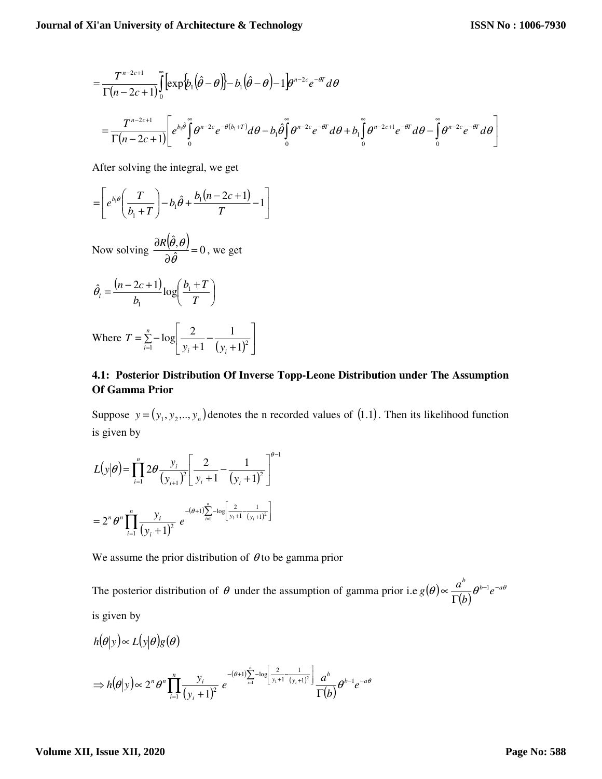$$
= \frac{T^{n-2c+1}}{\Gamma(n-2c+1)} \int_{0}^{\infty} \left[ exp\left\{b_1(\hat{\theta}-\theta)\right\} - b_1(\hat{\theta}-\theta) - 1 \right] e^{n-2c} e^{-\theta T} d\theta
$$
  

$$
= \frac{T^{n-2c+1}}{\Gamma(n-2c+1)} \left[ e^{b_1\hat{\theta}} \int_{0}^{\infty} \theta^{n-2c} e^{-\theta(b_1+T)} d\theta - b_1 \hat{\theta} \int_{0}^{\infty} \theta^{n-2c} e^{-\theta T} d\theta + b_1 \int_{0}^{\infty} \theta^{n-2c+1} e^{-\theta T} d\theta - \int_{0}^{\infty} \theta^{n-2c} e^{-\theta T} d\theta \right]
$$

After solving the integral, we get

$$
= \left[ e^{b_1 \theta} \left( \frac{T}{b_1 + T} \right) - b_1 \hat{\theta} + \frac{b_1 \left( n - 2c + 1 \right)}{T} - 1 \right]
$$

Now solving  $\frac{\partial R(\hat{\theta}, \theta)}{\partial \hat{\theta}} = 0$ , ˆ = ∂ ∂ θ  $\frac{R(\theta,\theta)}{2\hat{s}}=0$ , we get

$$
\hat{\theta}_l = \frac{(n-2c+1)}{b_1} \log \left( \frac{b_1 + T}{T} \right)
$$

Where  $T = \sum_{i=1}^{\infty} -\log \left[ \frac{2}{y_i + 1} - \frac{1}{(y_i + 1)^2} \right]$ 1  $\mathbf{r}$ L Γ + − +  $=\sum_{i=1}$  – *n*  $\sum_{i=1}^{\infty}$   $y_i + 1$   $(y_i$  $T = \sum_{i=1}^{n} -\log \left| \frac{2}{y_i+1} - \frac{1}{(y_i+1)^2} \right|$ 1 1  $log\left|-\frac{2}{2}\right|$ 

### **4.1: Posterior Distribution Of Inverse Topp-Leone Distribution under The Assumption Of Gamma Prior**

Suppose  $y = (y_1, y_2, ..., y_n)$  denotes the n recorded values of (1.1). Then its likelihood function is given by

$$
L(y|\theta) = \prod_{i=1}^{n} 2\theta \frac{y_i}{(y_{i+1})^2} \left[ \frac{2}{y_i + 1} - \frac{1}{(y_i + 1)^2} \right]^{\theta - 1}
$$
  
=  $2^n \theta^n \prod_{i=1}^{n} \frac{y_i}{(y_i + 1)^2} e^{-(\theta + 1) \sum_{i=1}^{n} -\log \left[ \frac{2}{y_i + 1} - \frac{1}{(y_i + 1)^2} \right]}$ 

We assume the prior distribution of  $\theta$  to be gamma prior

The posterior distribution of  $\theta$  under the assumption of gamma prior i.e  $g(\theta) \propto \frac{a^b}{\Gamma(b)} \theta^{b-1} e^{-a\theta}$ *e b*  $g(\theta) \propto \frac{a^b}{\Gamma(b)} \theta^{b-1} e^{-\theta}$ Γ  $\propto \frac{u}{\Gamma(1)} \theta^{b-1}$ 

is given by

$$
h(\theta|y) \propto L(y|\theta)g(\theta)
$$
  
\n
$$
\Rightarrow h(\theta|y) \propto 2^n \theta^n \prod_{i=1}^n \frac{y_i}{(y_i+1)^2} e^{-(\theta+1)\sum_{i=1}^n -\log \left[\frac{2}{y_i+1} - \frac{1}{(y_i+1)^2}\right]} \frac{a^b}{\Gamma(b)} \theta^{b-1} e^{-a\theta}
$$

#### **Volume XII, Issue XII, 2020**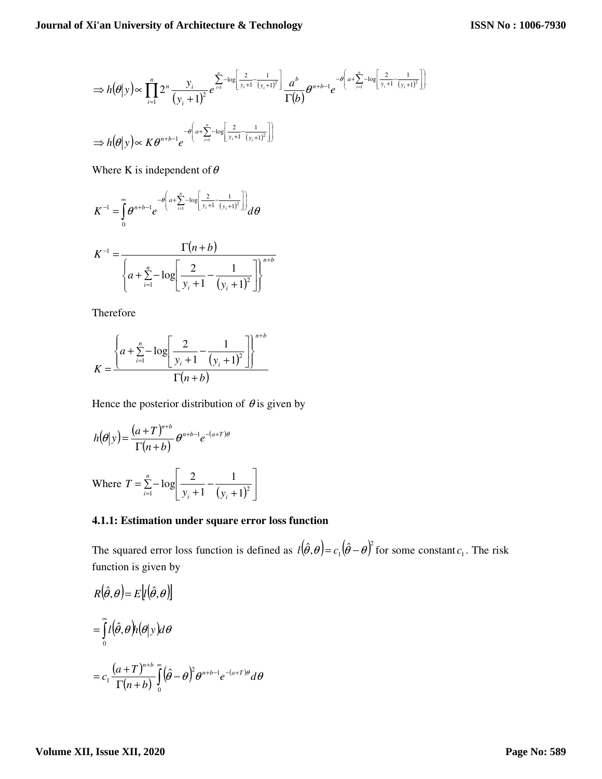$$
\Rightarrow h(\theta|y) \propto \prod_{i=1}^{n} 2^{n} \frac{y_{i}}{(y_{i}+1)^{2}} e^{\sum_{i=1}^{n} -\log \left[\frac{2}{y_{i}+1} - \frac{1}{(y_{i}+1)^{2}}\right]} \frac{a^{b}}{\Gamma(b)} \theta^{n+b-1} e^{-\theta \left(a + \sum_{i=1}^{n} -\log \left[\frac{2}{y_{i}+1} - \frac{1}{(y_{i}+1)^{2}}\right]\right)}
$$
  

$$
\Rightarrow h(\theta|y) \propto K \theta^{n+b-1} e^{-\theta \left(a + \sum_{i=1}^{n} -\log \left[\frac{2}{y_{i}+1} - \frac{1}{(y_{i}+1)^{2}}\right]\right)}
$$

Where K is independent of  $\theta$ 

$$
K^{-1} = \int_{0}^{\infty} \theta^{n+b-1} e^{-\theta \left(a + \sum_{i=1}^{n} -\log \left[\frac{2}{y_i+1} - \frac{1}{(y_i+1)^2}\right]\right)} d\theta
$$

$$
K^{-1} = \frac{\Gamma(n+b)}{\left\{a + \sum_{i=1}^{n} -\log\left[\frac{2}{y_i+1} - \frac{1}{(y_i+1)^2}\right]\right\}^{n+b}}
$$

Therefore

$$
K = \frac{\left\{a + \sum_{i=1}^{n} -\log\left[\frac{2}{y_i + 1} - \frac{1}{(y_i + 1)^2}\right]\right\}^{n+b}}{\Gamma(n+b)}
$$

Hence the posterior distribution of  $\theta$  is given by

$$
h(\theta|y) = \frac{(a+T)^{n+b}}{\Gamma(n+b)} \theta^{n+b-1} e^{-(a+T)\theta}
$$

Where  $T = \sum_{i=1}^{\infty} -\log \left[ \frac{2}{y_i + 1} - \frac{1}{(y_i + 1)^2} \right]$ 1  $\mathbf{r}$ L Г + − +  $=\sum_{i=1}$ *n*  $\sum_{i=1}^{\infty}$   $y_i + 1$   $(y_i$  $T = \sum_{i=1}^{n} -\log \left( \frac{2}{y_i+1} - \frac{1}{(y_i+1)^2} \right)$ 1 1  $log^{-2}$ 

#### **4.1.1: Estimation under square error loss function**

The squared error loss function is defined as  $l(\hat{\theta}, \theta) = c_1(\hat{\theta} - \theta)^2$  $l(\hat{\theta}, \theta) = c_1(\hat{\theta} - \theta)^2$  for some constant  $c_1$ . The risk function is given by

$$
R(\hat{\theta}, \theta) = E[t(\hat{\theta}, \theta)]
$$
  
= 
$$
\int_{0}^{\infty} t(\hat{\theta}, \theta) h(\theta | y) d\theta
$$
  
= 
$$
c_1 \frac{(a+T)^{n+b}}{\Gamma(n+b)} \int_{0}^{\infty} (\hat{\theta} - \theta)^2 \theta^{n+b-1} e^{-(a+T)\theta} d\theta
$$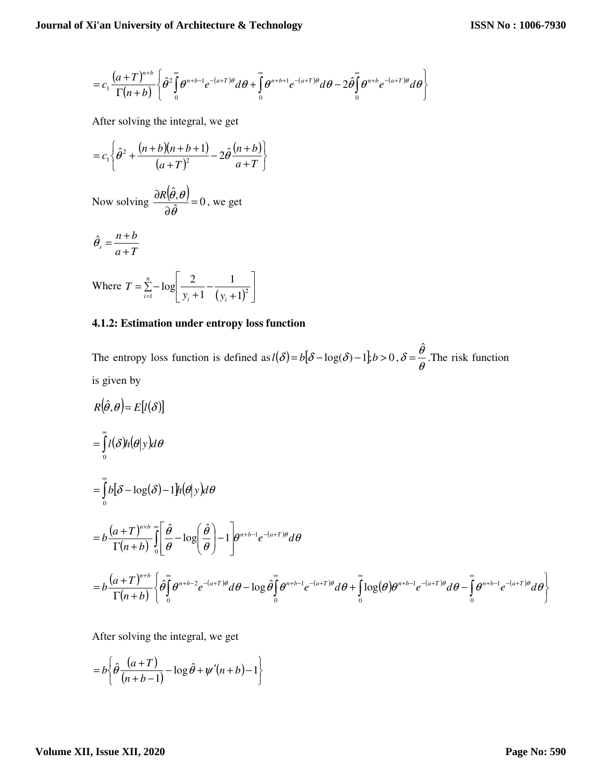$$
=c_1\frac{(a+T)^{n+b}}{\Gamma(n+b)}\left\{\hat{\theta}^2\int\limits_0^\infty\theta^{n+b-1}e^{-(a+T)\theta}d\theta+\int\limits_0^\infty\theta^{n+b+1}e^{-(a+T)\theta}d\theta-2\hat{\theta}\int\limits_0^\infty\theta^{n+b}e^{-(a+T)\theta}d\theta\right\}
$$

After solving the integral, we get

$$
=c_1\left\{\hat{\theta}^2+\frac{(n+b)(n+b+1)}{(a+T)^2}-2\hat{\theta}\frac{(n+b)}{a+T}\right\}
$$

Now solving 
$$
\frac{\partial R(\hat{\theta}, \theta)}{\partial \hat{\theta}} = 0
$$
, we get

$$
\hat{\theta}_s = \frac{n+b}{a+T}
$$

Where 
$$
T = \sum_{i=1}^{n} -\log \left[ \frac{2}{y_i + 1} - \frac{1}{(y_i + 1)^2} \right]
$$

#### **4.1.2: Estimation under entropy loss function**

The entropy loss function is defined as  $l(\delta) = b[\delta - \log(\delta) - 1], b > 0, \delta = \frac{b}{\theta}$  $\delta = \frac{\hat{\theta}}{}$  $=\frac{6}{3}$ . The risk function is given by

$$
R(\hat{\theta}, \theta) = E[l(\delta)]
$$
  
\n
$$
= \int_{0}^{\infty} l(\delta)h(\theta|y)d\theta
$$
  
\n
$$
= \int_{0}^{\infty} b[\delta - \log(\delta) - 1]h(\theta|y)d\theta
$$
  
\n
$$
= b \frac{(a+T)^{n+b}}{\Gamma(n+b)} \int_{0}^{\infty} \left[\frac{\hat{\theta}}{\theta} - \log\left(\frac{\hat{\theta}}{\theta}\right) - 1\right] e^{n+b-1} e^{-(a+T)\theta} d\theta
$$
  
\n
$$
= b \frac{(a+T)^{n+b}}{\Gamma(n+b)} \left\{\hat{\theta}\int_{0}^{\infty} \theta^{n+b-2} e^{-(a+T)\theta} d\theta - \log \hat{\theta}\int_{0}^{\infty} \theta^{n+b-1} e^{-(a+T)\theta} d\theta + \int_{0}^{\infty} \log(\theta) e^{n+b-1} e^{-(a+T)\theta} d\theta - \int_{0}^{\infty} \theta^{n+b-1} e^{-(a+T)\theta} d\theta \right\}
$$

After solving the integral, we get

$$
=b\left\{\hat{\theta}\frac{(a+T)}{(n+b-1)}-\log\hat{\theta}+\psi'(n+b)-1\right\}
$$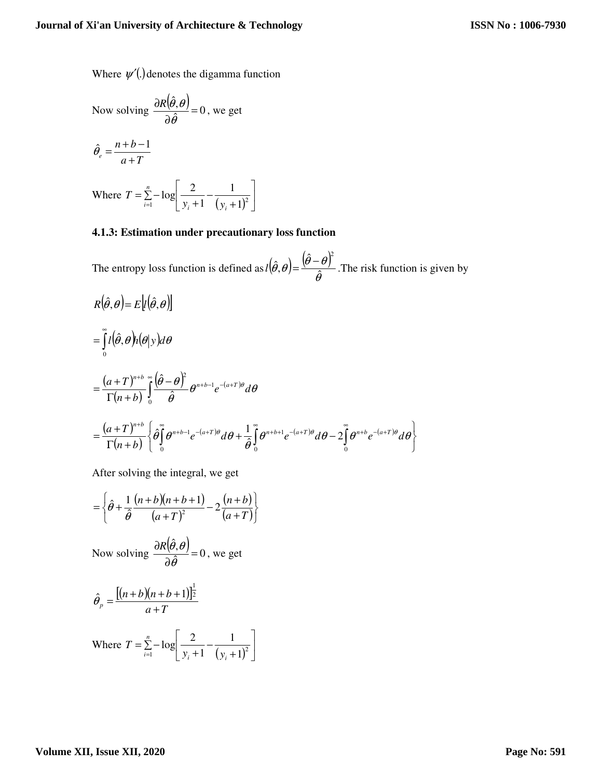Where  $\psi'(.)$  denotes the digamma function

Now solving 
$$
\frac{\partial R(\hat{\theta}, \theta)}{\partial \hat{\theta}} = 0
$$
, we get

$$
\hat{\theta}_e = \frac{n+b-1}{a+T}
$$

Where  $T = \sum_{i=1}^{\infty} -\log \left[ \frac{2}{y_i + 1} - \frac{1}{(y_i + 1)^2} \right]$ 1  $\mathbf{r}$ L Γ + − +  $=\sum_{i=1}$  *n*  $\sum_{i=1}^{\infty}$   $y_i + 1$   $(y_i$  $T = \sum_{i=1}^{ } -\log \left| \frac{2}{y_i+1} - \frac{1}{(y_i+1)^2} \right|$ 1 1  $log\left|-\frac{2}{2}\right|$ 

#### **4.1.3: Estimation under precautionary loss function**

The entropy loss function is defined as  $l(\hat{\theta}, \theta) = \frac{(\theta - \theta)^T}{\hat{\theta}}$  $(\hat{\theta}, \theta) = \frac{(\theta - \theta)}{\hat{\theta}}$ ˆ  $\hat{\boldsymbol{\beta}},$  $l(\hat{\theta}, \theta) = \frac{(\hat{\theta} - \theta)^2}{\hat{\theta}}$ . The risk function is given by

$$
R(\hat{\theta}, \theta) = E[\hat{l}(\hat{\theta}, \theta)]
$$
  
= 
$$
\int_{0}^{\infty} \hat{l}(\hat{\theta}, \theta) h(\theta | y) d\theta
$$
  
= 
$$
\frac{(a+T)^{n+b}}{\Gamma(n+b)} \int_{0}^{\infty} \frac{(\hat{\theta} - \theta)^{2}}{\hat{\theta}} \theta^{n+b-1} e^{-(a+T)\theta} d\theta
$$
  
= 
$$
\frac{(a+T)^{n+b}}{\Gamma(n+b)} \left\{\hat{\theta} \int_{0}^{\infty} \theta^{n+b-1} e^{-(a+T)\theta} d\theta + \frac{1}{\hat{\theta}} \int_{0}^{\infty} \theta^{n+b+1} e^{-(a+T)\theta} d\theta - 2 \int_{0}^{\infty} \theta^{n+b} e^{-(a+T)\theta} d\theta \right\}
$$

After solving the integral, we get

$$
= \left\{\hat{\theta} + \frac{1}{\hat{\theta}} \frac{(n+b)(n+b+1)}{(a+T)^2} - 2 \frac{(n+b)}{(a+T)}\right\}
$$

Now solving  $\frac{\partial R(\hat{\theta},\theta)}{\partial \hat{\theta}} = 0$ , ˆ = ∂ ∂ θ  $\frac{R(\theta,\theta)}{2\hat{s}}=0$ , we get

$$
\hat{\theta}_p = \frac{[(n+b)(n+b+1)]^{\frac{1}{2}}}{a+T}
$$

Where  $T = \sum_{i=1}^{\infty} -\log \left[ \frac{2}{y_i + 1} - \frac{1}{(y_i + 1)^2} \right]$ 1  $\mathbf{r}$ L Γ + − +  $=\sum_{i=1}$  – *n*  $\sum_{i=1}^{\infty}$   $y_i + 1$   $(y_i$  $T = \sum_{i=1}^{n} -\log \left( \frac{2}{y_i+1} - \frac{1}{(y_i+1)^2} \right)$ 1 1  $log\left|-\frac{2}{2}\right|$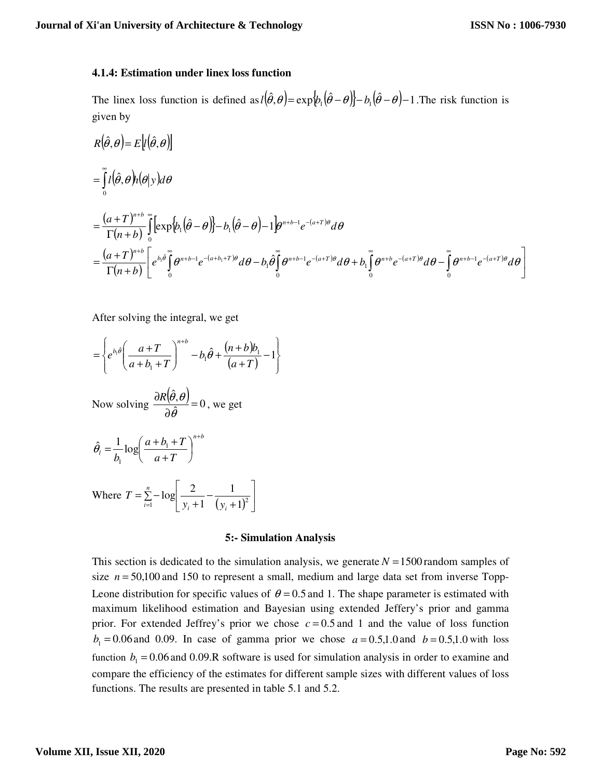#### **4.1.4: Estimation under linex loss function**

The linex loss function is defined as  $l(\hat{\theta}, \theta) = \exp{\phi_1(\hat{\theta} - \theta)} - b_1(\hat{\theta} - \theta) - 1$ . The risk function is given by

$$
R(\hat{\theta}, \theta) = E[(\hat{\theta}, \theta)h(\theta|y)d\theta
$$
  
= 
$$
\int_{0}^{\infty} l(\hat{\theta}, \theta)h(\theta|y)d\theta
$$
  
= 
$$
\frac{(a+T)^{n+b}}{\Gamma(n+b)}\int_{0}^{\infty} [\exp\{\phi_1(\hat{\theta}-\theta)\} - b_1(\hat{\theta}-\theta) - 1]e^{n+b-1}e^{-(a+T)\theta}d\theta
$$
  
= 
$$
\frac{(a+T)^{n+b}}{\Gamma(n+b)}\left[e^{b_1\hat{\theta}}\int_{0}^{\infty} \theta^{n+b-1}e^{-(a+b_1+T)\theta}d\theta - b_1\hat{\theta}\int_{0}^{\infty} \theta^{n+b-1}e^{-(a+T)\theta}d\theta + b_1\int_{0}^{\infty} \theta^{n+b}e^{-(a+T)\theta}d\theta - \int_{0}^{\infty} \theta^{n+b-1}e^{-(a+T)\theta}d\theta\right]
$$

After solving the integral, we get

$$
= \left\{ e^{b_1 \hat{\theta}} \left( \frac{a+T}{a+b_1+T} \right)^{n+b} - b_1 \hat{\theta} + \frac{(n+b)b_1}{(a+T)} - 1 \right\}
$$

Now solving 
$$
\frac{\partial R(\hat{\theta}, \theta)}{\partial \hat{\theta}} = 0
$$
, we get

$$
\hat{\theta}_l = \frac{1}{b_1} \log \left( \frac{a+b_1+T}{a+T} \right)^{n+b}
$$

Where  $T = \sum_{i=1}^{n} -\log \left[ \frac{2}{y_i + 1} - \frac{1}{(y_i + 1)^2} \right]$ 1  $\mathbf{r}$ L Γ + − +  $=\sum_{i=1}$  *n*  $\sum_{i=1}^{\infty}$   $y_i + 1$   $(y_i$  $T = \sum_{i=1}^{n} -\log \left( \frac{2}{y_i+1} - \frac{1}{(y_i+1)^2} \right)$ 1 1  $log\left|-\frac{2}{2}\right|$ 

#### **5:- Simulation Analysis**

This section is dedicated to the simulation analysis, we generate  $N = 1500$  random samples of size  $n = 50,100$  and 150 to represent a small, medium and large data set from inverse Topp-Leone distribution for specific values of  $\theta = 0.5$  and 1. The shape parameter is estimated with maximum likelihood estimation and Bayesian using extended Jeffery's prior and gamma prior. For extended Jeffrey's prior we chose  $c = 0.5$  and 1 and the value of loss function  $b_1 = 0.06$  and 0.09. In case of gamma prior we chose  $a = 0.5,1.0$  and  $b = 0.5,1.0$  with loss function  $b_1 = 0.06$  and 0.09.R software is used for simulation analysis in order to examine and compare the efficiency of the estimates for different sample sizes with different values of loss functions. The results are presented in table 5.1 and 5.2.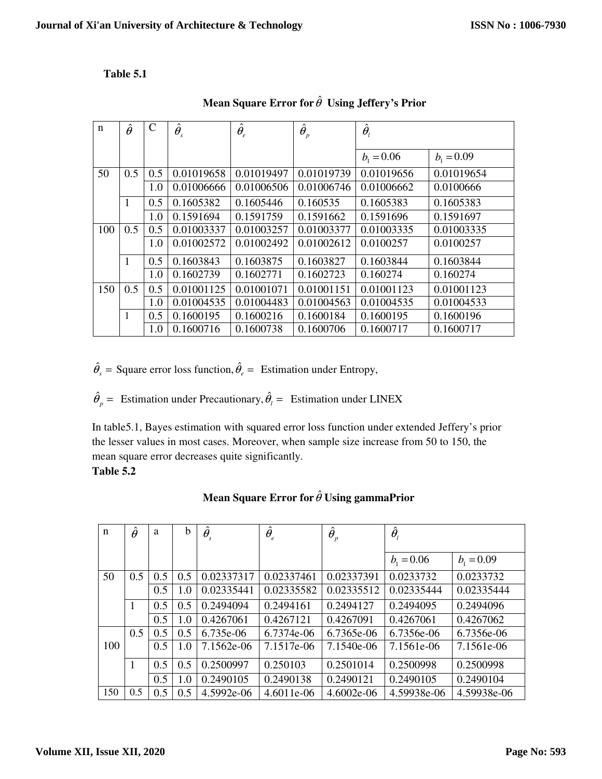## **Table 5.1**

| $\mathbf n$ | $\hat{\theta}$ | C   | $\hat{\theta}_{\scriptscriptstyle\mathit{s}}$ | $\hat{\theta}_{{\scriptscriptstyle e}}$ | $\hat{\boldsymbol{\theta}}_p$ | $\hat{\theta}_{l}$ |              |
|-------------|----------------|-----|-----------------------------------------------|-----------------------------------------|-------------------------------|--------------------|--------------|
|             |                |     |                                               |                                         |                               |                    |              |
|             |                |     |                                               |                                         |                               | $b_1 = 0.06$       | $b_1 = 0.09$ |
| 50          | 0.5            | 0.5 | 0.01019658                                    | 0.01019497                              | 0.01019739                    | 0.01019656         | 0.01019654   |
|             |                | 1.0 | 0.01006666                                    | 0.01006506                              | 0.01006746                    | 0.01006662         | 0.0100666    |
|             | 1              | 0.5 | 0.1605382                                     | 0.1605446                               | 0.160535                      | 0.1605383          | 0.1605383    |
|             |                | 1.0 | 0.1591694                                     | 0.1591759                               | 0.1591662                     | 0.1591696          | 0.1591697    |
| 100         | 0.5            | 0.5 | 0.01003337                                    | 0.01003257                              | 0.01003377                    | 0.01003335         | 0.01003335   |
|             |                | 1.0 | 0.01002572                                    | 0.01002492                              | 0.01002612                    | 0.0100257          | 0.0100257    |
|             | $\mathbf{1}$   | 0.5 | 0.1603843                                     | 0.1603875                               | 0.1603827                     | 0.1603844          | 0.1603844    |
|             |                | 1.0 | 0.1602739                                     | 0.1602771                               | 0.1602723                     | 0.160274           | 0.160274     |
| 150         | 0.5            | 0.5 | 0.01001125                                    | 0.01001071                              | 0.01001151                    | 0.01001123         | 0.01001123   |
|             |                | 1.0 | 0.01004535                                    | 0.01004483                              | 0.01004563                    | 0.01004535         | 0.01004533   |
|             | $\mathbf{1}$   | 0.5 | 0.1600195                                     | 0.1600216                               | 0.1600184                     | 0.1600195          | 0.1600196    |
|             |                | 1.0 | 0.1600716                                     | 0.1600738                               | 0.1600706                     | 0.1600717          | 0.1600717    |

**Mean Square Error for**  $\hat{\theta}$  **Using Jeffery's Prior** 

 $\hat{\theta}_s$  = Square error loss function,  $\hat{\theta}_e$  = Estimation under Entropy,

 $\hat{\theta}_p$  = Estimation under Precautionary,  $\hat{\theta}_l$  = Estimation under LINEX

In table5.1, Bayes estimation with squared error loss function under extended Jeffery's prior the lesser values in most cases. Moreover, when sample size increase from 50 to 150, the mean square error decreases quite significantly.

**Table 5.2**

| $\mathbf n$ | $\hat{\theta}$ | a   | b   | $\hat{\theta}_{\scriptscriptstyle\mathit{s}}$ | $\hat{\theta}_{_{e}}$ | $\hat{\boldsymbol{\theta}}_p$ | $\hat{\theta}_{\scriptscriptstyle\!}$ |              |
|-------------|----------------|-----|-----|-----------------------------------------------|-----------------------|-------------------------------|---------------------------------------|--------------|
|             |                |     |     |                                               |                       |                               |                                       |              |
|             |                |     |     |                                               |                       |                               | $b_1 = 0.06$                          | $b_1 = 0.09$ |
| 50          | 0.5            | 0.5 | 0.5 | 0.02337317                                    | 0.02337461            | 0.02337391                    | 0.0233732                             | 0.0233732    |
|             |                | 0.5 | 1.0 | 0.02335441                                    | 0.02335582            | 0.02335512                    | 0.02335444                            | 0.02335444   |
|             | $\mathbf{1}$   | 0.5 | 0.5 | 0.2494094                                     | 0.2494161             | 0.2494127                     | 0.2494095                             | 0.2494096    |
|             |                | 0.5 | 1.0 | 0.4267061                                     | 0.4267121             | 0.4267091                     | 0.4267061                             | 0.4267062    |
|             | 0.5            | 0.5 | 0.5 | $6.735e-06$                                   | 6.7374e-06            | 6.7365e-06                    | 6.7356e-06                            | 6.7356e-06   |
| 100         |                | 0.5 | 1.0 | 7.1562e-06                                    | 7.1517e-06            | 7.1540e-06                    | 7.1561e-06                            | 7.1561e-06   |
|             | 1              | 0.5 | 0.5 | 0.2500997                                     | 0.250103              | 0.2501014                     | 0.2500998                             | 0.2500998    |
|             |                | 0.5 | 1.0 | 0.2490105                                     | 0.2490138             | 0.2490121                     | 0.2490105                             | 0.2490104    |
| 150         | 0.5            | 0.5 | 0.5 | 4.5992e-06                                    | 4.6011e-06            | $4.6002e-06$                  | 4.59938e-06                           | 4.59938e-06  |

## **Mean Square Error for**  $\hat{\theta}$  **Using gammaPrior**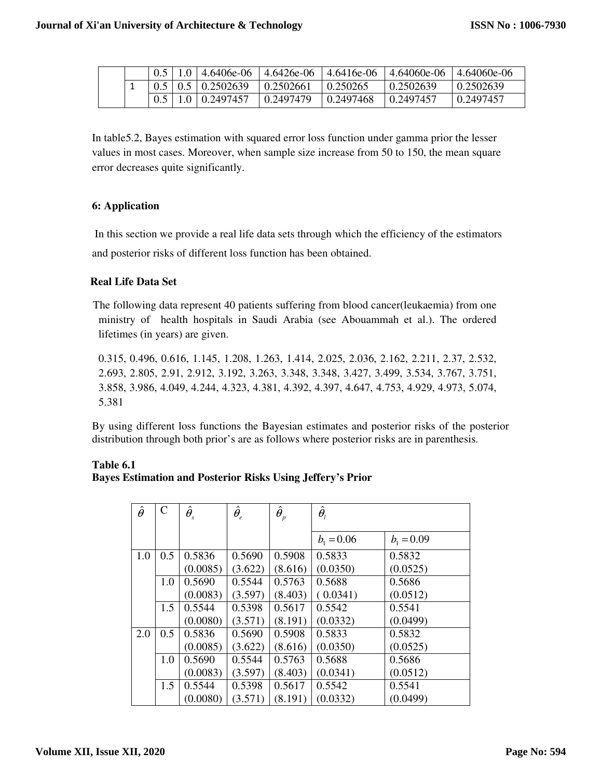|  |  |                                                       |                                 | $\mid 0.5 \mid 1.0 \mid 4.6406e-06 \mid 4.6426e-06 \mid 4.6416e-06 \mid 4.64060e-06 \mid 4.64060e-06$ |            |
|--|--|-------------------------------------------------------|---------------------------------|-------------------------------------------------------------------------------------------------------|------------|
|  |  | $\vert 0.5 \vert 0.5 \vert 0.2502639 \vert 0.2502661$ | 0.250265                        | 0.2502639                                                                                             | 10.2502639 |
|  |  | $0.5$   1.0   0.2497457   0.2497479                   | $\mid 0.2497468 \mid 0.2497457$ |                                                                                                       | 10.2497457 |

In table5.2, Bayes estimation with squared error loss function under gamma prior the lesser values in most cases. Moreover, when sample size increase from 50 to 150, the mean square error decreases quite significantly.

### **6: Application**

 In this section we provide a real life data sets through which the efficiency of the estimators and posterior risks of different loss function has been obtained.

### **Real Life Data Set**

 The following data represent 40 patients suffering from blood cancer(leukaemia) from one ministry of health hospitals in Saudi Arabia (see Abouammah et al.). The ordered lifetimes (in years) are given.

0.315, 0.496, 0.616, 1.145, 1.208, 1.263, 1.414, 2.025, 2.036, 2.162, 2.211, 2.37, 2.532, 2.693, 2.805, 2.91, 2.912, 3.192, 3.263, 3.348, 3.348, 3.427, 3.499, 3.534, 3.767, 3.751, 3.858, 3.986, 4.049, 4.244, 4.323, 4.381, 4.392, 4.397, 4.647, 4.753, 4.929, 4.973, 5.074, 5.381

By using different loss functions the Bayesian estimates and posterior risks of the posterior distribution through both prior's are as follows where posterior risks are in parenthesis.

| Table 6.1 |                                                                   |  |  |  |
|-----------|-------------------------------------------------------------------|--|--|--|
|           | <b>Bayes Estimation and Posterior Risks Using Jeffery's Prior</b> |  |  |  |

| $\hat{\theta}$ | $\overline{C}$ | $\hat{\theta}_{_{\!S}}$ | $\hat{\theta}_{_{\!e}}$ | $\hat{\boldsymbol{\theta}}_{{}_p}$ | $\hat{\theta}_{{\scriptscriptstyle l}}$ |              |
|----------------|----------------|-------------------------|-------------------------|------------------------------------|-----------------------------------------|--------------|
|                |                |                         |                         |                                    |                                         |              |
|                |                |                         |                         |                                    | $b_1 = 0.06$                            | $b_1 = 0.09$ |
| 1.0            | 0.5            | 0.5836                  | 0.5690                  | 0.5908                             | 0.5833                                  | 0.5832       |
|                |                | (0.0085)                | (3.622)                 | (8.616)                            | (0.0350)                                | (0.0525)     |
|                | 1.0            | 0.5690                  | 0.5544                  | 0.5763                             | 0.5688                                  | 0.5686       |
|                |                | (0.0083)                | (3.597)                 | (8.403)                            | (0.0341)                                | (0.0512)     |
|                | 1.5            | 0.5544                  | 0.5398                  | 0.5617                             | 0.5542                                  | 0.5541       |
|                |                | (0.0080)                | (3.571)                 | (8.191)                            | (0.0332)                                | (0.0499)     |
| 2.0            | 0.5            | 0.5836                  | 0.5690                  | 0.5908                             | 0.5833                                  | 0.5832       |
|                |                | (0.0085)                | (3.622)                 | (8.616)                            | (0.0350)                                | (0.0525)     |
|                | 1.0            | 0.5690                  | 0.5544                  | 0.5763                             | 0.5688                                  | 0.5686       |
|                |                | (0.0083)                | (3.597)                 | (8.403)                            | (0.0341)                                | (0.0512)     |
|                | 1.5            | 0.5544                  | 0.5398                  | 0.5617                             | 0.5542                                  | 0.5541       |
|                |                | (0.0080)                | (3.571)                 | (8.191)                            | (0.0332)                                | (0.0499)     |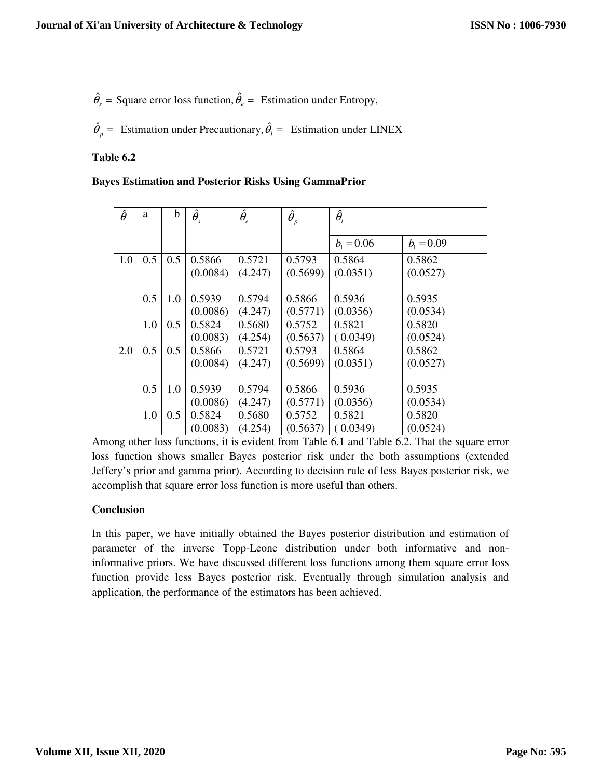$\hat{\theta}_s$  = Square error loss function,  $\hat{\theta}_e$  = Estimation under Entropy,

 $\hat{\theta}_p$  = Estimation under Precautionary,  $\hat{\theta}_l$  = Estimation under LINEX

### **Table 6.2**

| <b>Bayes Estimation and Posterior Risks Using GammaPrior</b> |
|--------------------------------------------------------------|
|--------------------------------------------------------------|

| $\hat{\theta}$ | a   | b   | $\hat{\theta}_{\scriptscriptstyle\mathit{s}}$ | $\hat{\theta}_{_{e}}$ | $\hat{\boldsymbol{\theta}}_{{}_p}$ | $\hat{\theta}_{\scriptscriptstyle\!}$ |                    |
|----------------|-----|-----|-----------------------------------------------|-----------------------|------------------------------------|---------------------------------------|--------------------|
|                |     |     |                                               |                       |                                    | $b_1 = 0.06$                          | $b_1 = 0.09$       |
| 1.0            | 0.5 | 0.5 | 0.5866<br>(0.0084)                            | 0.5721<br>(4.247)     | 0.5793<br>(0.5699)                 | 0.5864<br>(0.0351)                    | 0.5862<br>(0.0527) |
|                | 0.5 | 1.0 | 0.5939<br>(0.0086)                            | 0.5794<br>(4.247)     | 0.5866<br>(0.5771)                 | 0.5936<br>(0.0356)                    | 0.5935<br>(0.0534) |
|                | 1.0 | 0.5 | 0.5824<br>(0.0083)                            | 0.5680<br>(4.254)     | 0.5752<br>(0.5637)                 | 0.5821<br>(0.0349)                    | 0.5820<br>(0.0524) |
| 2.0            | 0.5 | 0.5 | 0.5866<br>(0.0084)                            | 0.5721<br>(4.247)     | 0.5793<br>(0.5699)                 | 0.5864<br>(0.0351)                    | 0.5862<br>(0.0527) |
|                | 0.5 | 1.0 | 0.5939<br>(0.0086)                            | 0.5794<br>(4.247)     | 0.5866<br>(0.5771)                 | 0.5936<br>(0.0356)                    | 0.5935<br>(0.0534) |
|                | 1.0 | 0.5 | 0.5824<br>(0.0083)                            | 0.5680<br>(4.254)     | 0.5752<br>(0.5637)                 | 0.5821<br>(0.0349)                    | 0.5820<br>(0.0524) |

Among other loss functions, it is evident from Table 6.1 and Table 6.2. That the square error loss function shows smaller Bayes posterior risk under the both assumptions (extended Jeffery's prior and gamma prior). According to decision rule of less Bayes posterior risk, we accomplish that square error loss function is more useful than others.

#### **Conclusion**

In this paper, we have initially obtained the Bayes posterior distribution and estimation of parameter of the inverse Topp-Leone distribution under both informative and noninformative priors. We have discussed different loss functions among them square error loss function provide less Bayes posterior risk. Eventually through simulation analysis and application, the performance of the estimators has been achieved.